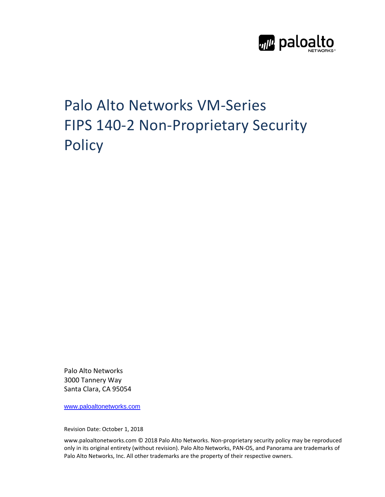

# Palo Alto Networks VM‐Series FIPS 140-2 Non-Proprietary Security **Policy**

Palo Alto Networks 3000 Tannery Way Santa Clara, CA 95054

www.paloaltonetworks.com

Revision Date: October 1, 2018

www.paloaltonetworks.com © 2018 Palo Alto Networks. Non‐proprietary security policy may be reproduced only in its original entirety (without revision). Palo Alto Networks, PAN‐OS, and Panorama are trademarks of Palo Alto Networks, Inc. All other trademarks are the property of their respective owners.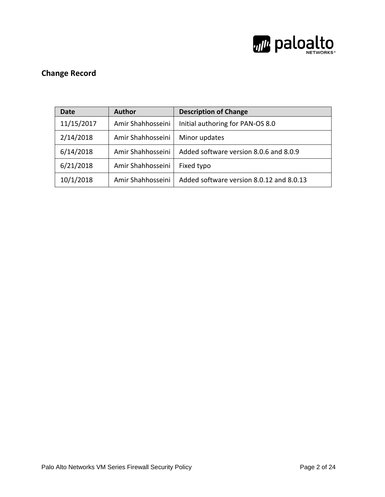

# **Change Record**

| Date       | <b>Author</b>     | <b>Description of Change</b>             |
|------------|-------------------|------------------------------------------|
| 11/15/2017 | Amir Shahhosseini | Initial authoring for PAN-OS 8.0         |
| 2/14/2018  | Amir Shahhosseini | Minor updates                            |
| 6/14/2018  | Amir Shahhosseini | Added software version 8.0.6 and 8.0.9   |
| 6/21/2018  | Amir Shahhosseini | Fixed typo                               |
| 10/1/2018  | Amir Shahhosseini | Added software version 8.0.12 and 8.0.13 |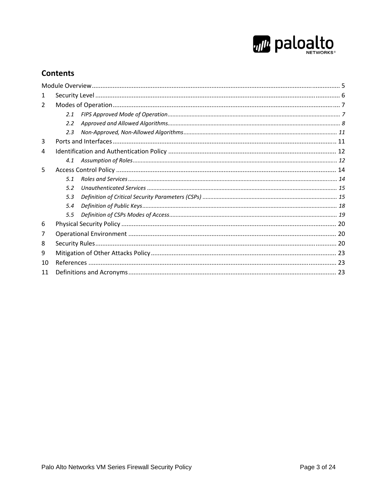

### **Contents**

| 1              |     |  |
|----------------|-----|--|
| $\overline{2}$ |     |  |
|                | 2.1 |  |
|                | 2.2 |  |
|                | 2.3 |  |
| 3              |     |  |
| 4              |     |  |
|                | 4.1 |  |
| 5              |     |  |
|                | 5.1 |  |
|                | 5.2 |  |
|                | 5.3 |  |
|                | 5.4 |  |
|                | 5.5 |  |
| 6              |     |  |
| 7              |     |  |
| 8              |     |  |
| 9              |     |  |
| 10             |     |  |
| 11             |     |  |
|                |     |  |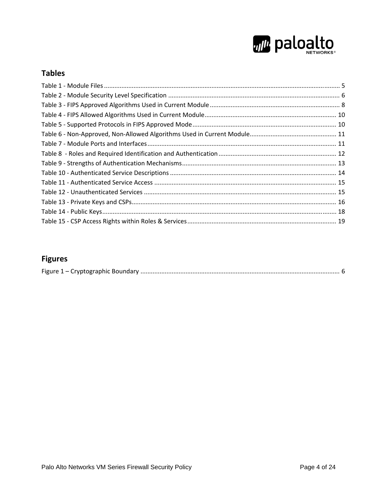

# **Tables**

# **Figures**

|--|--|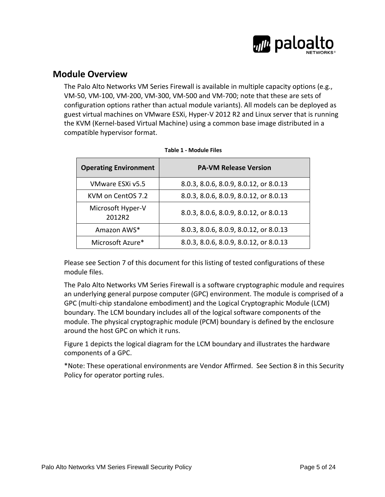

### **Module Overview**

The Palo Alto Networks VM Series Firewall is available in multiple capacity options (e.g., VM‐50, VM‐100, VM‐200, VM‐300, VM‐500 and VM‐700; note that these are sets of configuration options rather than actual module variants). All models can be deployed as guest virtual machines on VMware ESXi, Hyper‐V 2012 R2 and Linux server that is running the KVM (Kernel‐based Virtual Machine) using a common base image distributed in a compatible hypervisor format.

| <b>Operating Environment</b> | <b>PA-VM Release Version</b>           |
|------------------------------|----------------------------------------|
| VMware ESXi v5.5             | 8.0.3, 8.0.6, 8.0.9, 8.0.12, or 8.0.13 |
| KVM on CentOS 7.2            | 8.0.3, 8.0.6, 8.0.9, 8.0.12, or 8.0.13 |
| Microsoft Hyper-V<br>2012R2  | 8.0.3, 8.0.6, 8.0.9, 8.0.12, or 8.0.13 |
| Amazon AWS*                  | 8.0.3, 8.0.6, 8.0.9, 8.0.12, or 8.0.13 |
| Microsoft Azure*             | 8.0.3, 8.0.6, 8.0.9, 8.0.12, or 8.0.13 |

Please see Section 7 of this document for this listing of tested configurations of these module files.

The Palo Alto Networks VM Series Firewall is a software cryptographic module and requires an underlying general purpose computer (GPC) environment. The module is comprised of a GPC (multi-chip standalone embodiment) and the Logical Cryptographic Module (LCM) boundary. The LCM boundary includes all of the logical software components of the module. The physical cryptographic module (PCM) boundary is defined by the enclosure around the host GPC on which it runs.

Figure 1 depicts the logical diagram for the LCM boundary and illustrates the hardware components of a GPC.

\*Note: These operational environments are Vendor Affirmed. See Section 8 in this Security Policy for operator porting rules.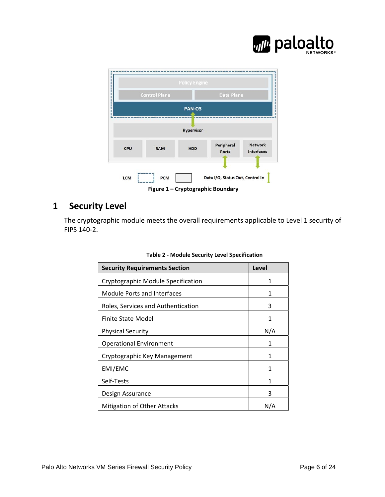



# **1 Security Level**

The cryptographic module meets the overall requirements applicable to Level 1 security of FIPS 140‐2.

| <b>Security Requirements Section</b> | Level |
|--------------------------------------|-------|
| Cryptographic Module Specification   | 1     |
| Module Ports and Interfaces          | 1     |
| Roles, Services and Authentication   | 3     |
| Finite State Model                   | 1     |
| <b>Physical Security</b>             | N/A   |
| <b>Operational Environment</b>       | 1     |
| Cryptographic Key Management         | 1     |
| EMI/EMC                              | 1     |
| Self-Tests                           | 1     |
| Design Assurance                     | ੨     |
| <b>Mitigation of Other Attacks</b>   | N/A   |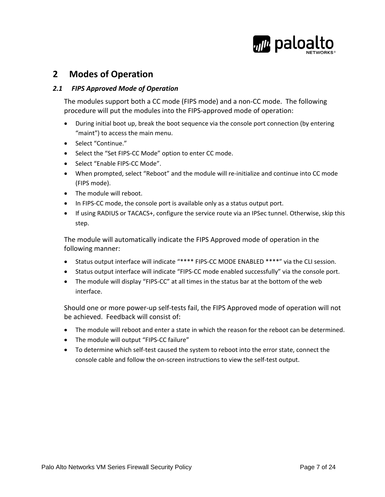

# **2 Modes of Operation**

#### *2.1 FIPS Approved Mode of Operation*

The modules support both a CC mode (FIPS mode) and a non‐CC mode. The following procedure will put the modules into the FIPS‐approved mode of operation:

- During initial boot up, break the boot sequence via the console port connection (by entering "maint") to access the main menu.
- Select "Continue."
- Select the "Set FIPS‐CC Mode" option to enter CC mode.
- Select "Enable FIPS-CC Mode".
- When prompted, select "Reboot" and the module will re-initialize and continue into CC mode (FIPS mode).
- The module will reboot.
- In FIPS-CC mode, the console port is available only as a status output port.
- If using RADIUS or TACACS+, configure the service route via an IPSec tunnel. Otherwise, skip this step.

The module will automatically indicate the FIPS Approved mode of operation in the following manner:

- Status output interface will indicate "\*\*\*\* FIPS‐CC MODE ENABLED \*\*\*\*" via the CLI session.
- Status output interface will indicate "FIPS‐CC mode enabled successfully" via the console port.
- The module will display "FIPS-CC" at all times in the status bar at the bottom of the web interface.

Should one or more power‐up self‐tests fail, the FIPS Approved mode of operation will not be achieved. Feedback will consist of:

- The module will reboot and enter a state in which the reason for the reboot can be determined.
- The module will output "FIPS‐CC failure"
- To determine which self-test caused the system to reboot into the error state, connect the console cable and follow the on‐screen instructions to view the self‐test output.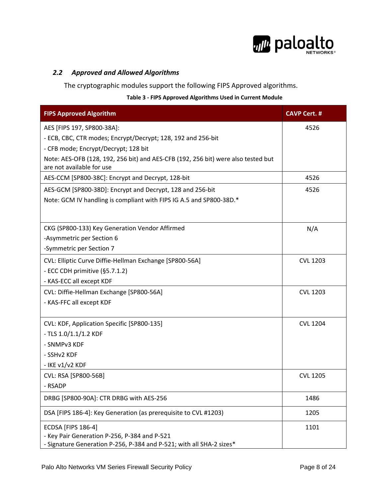

#### *2.2 Approved and Allowed Algorithms*

The cryptographic modules support the following FIPS Approved algorithms.

#### **Table 3 ‐ FIPS Approved Algorithms Used in Current Module**

| <b>FIPS Approved Algorithm</b>                                                    | <b>CAVP Cert. #</b> |
|-----------------------------------------------------------------------------------|---------------------|
| AES [FIPS 197, SP800-38A]:                                                        | 4526                |
| - ECB, CBC, CTR modes; Encrypt/Decrypt; 128, 192 and 256-bit                      |                     |
| - CFB mode; Encrypt/Decrypt; 128 bit                                              |                     |
| Note: AES-OFB (128, 192, 256 bit) and AES-CFB (192, 256 bit) were also tested but |                     |
| are not available for use                                                         |                     |
| AES-CCM [SP800-38C]: Encrypt and Decrypt, 128-bit                                 | 4526                |
| AES-GCM [SP800-38D]: Encrypt and Decrypt, 128 and 256-bit                         | 4526                |
| Note: GCM IV handling is compliant with FIPS IG A.5 and SP800-38D.*               |                     |
|                                                                                   |                     |
| CKG (SP800-133) Key Generation Vendor Affirmed                                    | N/A                 |
| -Asymmetric per Section 6                                                         |                     |
| -Symmetric per Section 7                                                          |                     |
| CVL: Elliptic Curve Diffie-Hellman Exchange [SP800-56A]                           | <b>CVL 1203</b>     |
| - ECC CDH primitive (§5.7.1.2)                                                    |                     |
| - KAS-ECC all except KDF                                                          |                     |
| CVL: Diffie-Hellman Exchange [SP800-56A]                                          | <b>CVL 1203</b>     |
| - KAS-FFC all except KDF                                                          |                     |
|                                                                                   |                     |
| CVL: KDF, Application Specific [SP800-135]                                        | <b>CVL 1204</b>     |
| - TLS 1.0/1.1/1.2 KDF                                                             |                     |
| - SNMPv3 KDF                                                                      |                     |
| - SSHv2 KDF                                                                       |                     |
| - IKE v1/v2 KDF                                                                   |                     |
| CVL: RSA [SP800-56B]                                                              | <b>CVL 1205</b>     |
| - RSADP                                                                           |                     |
| DRBG [SP800-90A]: CTR DRBG with AES-256                                           | 1486                |
| DSA [FIPS 186-4]: Key Generation (as prerequisite to CVL #1203)                   | 1205                |
| <b>ECDSA [FIPS 186-4]</b>                                                         | 1101                |
| - Key Pair Generation P-256, P-384 and P-521                                      |                     |
| - Signature Generation P-256, P-384 and P-521; with all SHA-2 sizes*              |                     |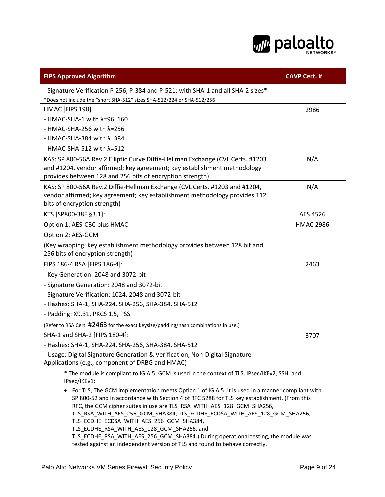

| <b>FIPS Approved Algorithm</b>                                                                                                                                                                                          | <b>CAVP Cert. #</b> |
|-------------------------------------------------------------------------------------------------------------------------------------------------------------------------------------------------------------------------|---------------------|
| - Signature Verification P-256, P-384 and P-521; with SHA-1 and all SHA-2 sizes*                                                                                                                                        |                     |
| *Does not include the "short SHA-512" sizes SHA-512/224 or SHA-512/256                                                                                                                                                  |                     |
| HMAC [FIPS 198]                                                                                                                                                                                                         | 2986                |
| - HMAC-SHA-1 with $\lambda$ =96, 160                                                                                                                                                                                    |                     |
| - HMAC-SHA-256 with $\lambda$ =256                                                                                                                                                                                      |                     |
| - HMAC-SHA-384 with $\lambda$ =384                                                                                                                                                                                      |                     |
| - HMAC-SHA-512 with $\lambda$ =512                                                                                                                                                                                      |                     |
| KAS: SP 800-56A Rev.2 Elliptic Curve Diffie-Hellman Exchange (CVL Certs. #1203<br>and #1204, vendor affirmed; key agreement; key establishment methodology<br>provides between 128 and 256 bits of encryption strength) | N/A                 |
| KAS: SP 800-56A Rev.2 Diffie-Hellman Exchange (CVL Certs. #1203 and #1204,<br>vendor affirmed; key agreement; key establishment methodology provides 112<br>bits of encryption strength)                                | N/A                 |
| KTS [SP800-38F §3.1]:                                                                                                                                                                                                   | AES 4526            |
| Option 1: AES-CBC plus HMAC                                                                                                                                                                                             | <b>HMAC 2986</b>    |
| Option 2: AES-GCM                                                                                                                                                                                                       |                     |
| (Key wrapping; key establishment methodology provides between 128 bit and<br>256 bits of encryption strength)                                                                                                           |                     |
| FIPS 186-4 RSA [FIPS 186-4]:                                                                                                                                                                                            | 2463                |
| - Key Generation: 2048 and 3072-bit                                                                                                                                                                                     |                     |
| - Signature Generation: 2048 and 3072-bit                                                                                                                                                                               |                     |
| - Signature Verification: 1024, 2048 and 3072-bit                                                                                                                                                                       |                     |
| - Hashes: SHA-1, SHA-224, SHA-256, SHA-384, SHA-512                                                                                                                                                                     |                     |
| - Padding: X9.31, PKCS 1.5, PSS                                                                                                                                                                                         |                     |
| (Refer to RSA Cert. #2463 for the exact keysize/padding/hash combinations in use.)                                                                                                                                      |                     |
| SHA-1 and SHA-2 [FIPS 180-4]:                                                                                                                                                                                           | 3707                |
| - Hashes: SHA-1, SHA-224, SHA-256, SHA-384, SHA-512                                                                                                                                                                     |                     |
| - Usage: Digital Signature Generation & Verification, Non-Digital Signature<br>Applications (e.g., component of DRBG and HMAC)                                                                                          |                     |

\* The module is compliant to IG A.5: GCM is used in the context of TLS, IPsec/IKEv2, SSH, and IPsec/IKEv1:

 For TLS, The GCM implementation meets Option 1 of IG A.5: it is used in a manner compliant with SP 800‐52 and in accordance with Section 4 of RFC 5288 for TLS key establishment. (From this RFC, the GCM cipher suites in use are TLS\_RSA\_WITH\_AES\_128\_GCM\_SHA256, TLS\_RSA\_WITH\_AES\_256\_GCM\_SHA384, TLS\_ECDHE\_ECDSA\_WITH\_AES\_128\_GCM\_SHA256, TLS\_ECDHE\_ECDSA\_WITH\_AES\_256\_GCM\_SHA384, TLS\_ECDHE\_RSA\_WITH\_AES\_128\_GCM\_SHA256, and TLS\_ECDHE\_RSA\_WITH\_AES\_256\_GCM\_SHA384.) During operational testing, the module was tested against an independent version of TLS and found to behave correctly.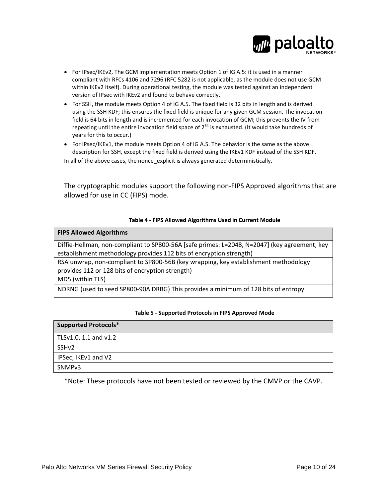

- For IPsec/IKEv2, The GCM implementation meets Option 1 of IG A.5: it is used in a manner compliant with RFCs 4106 and 7296 (RFC 5282 is not applicable, as the module does not use GCM within IKEv2 itself). During operational testing, the module was tested against an independent version of IPsec with IKEv2 and found to behave correctly.
- For SSH, the module meets Option 4 of IG A.5. The fixed field is 32 bits in length and is derived using the SSH KDF; this ensures the fixed field is unique for any given GCM session. The invocation field is 64 bits in length and is incremented for each invocation of GCM; this prevents the IV from repeating until the entire invocation field space of 2<sup>64</sup> is exhausted. (It would take hundreds of years for this to occur.)
- For IPsec/IKEv1, the module meets Option 4 of IG A.5. The behavior is the same as the above description for SSH, except the fixed field is derived using the IKEv1 KDF instead of the SSH KDF. In all of the above cases, the nonce\_explicit is always generated deterministically.

The cryptographic modules support the following non‐FIPS Approved algorithms that are allowed for use in CC (FIPS) mode.

#### **Table 4 ‐ FIPS Allowed Algorithms Used in Current Module**

| <b>FIPS Allowed Algorithms</b>                                                               |
|----------------------------------------------------------------------------------------------|
|                                                                                              |
| Diffie-Hellman, non-compliant to SP800-56A [safe primes: L=2048, N=2047] (key agreement; key |
| establishment methodology provides 112 bits of encryption strength)                          |
| RSA unwrap, non-compliant to SP800-56B (key wrapping, key establishment methodology          |
| provides 112 or 128 bits of encryption strength)                                             |
| MD5 (within TLS)                                                                             |
| NDRNG (used to seed SP800-90A DRBG) This provides a minimum of 128 bits of entropy.          |
|                                                                                              |

#### **Table 5 ‐ Supported Protocols in FIPS Approved Mode**

| <b>Supported Protocols*</b> |
|-----------------------------|
| TLSv1.0, 1.1 and v1.2       |
| SSH <sub>v</sub> 2          |
| IPSec, IKEv1 and V2         |
| SNMP <sub>v3</sub>          |

\*Note: These protocols have not been tested or reviewed by the CMVP or the CAVP.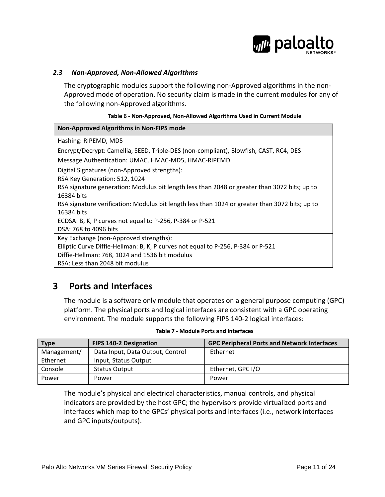

#### *2.3 Non‐Approved, Non‐Allowed Algorithms*

The cryptographic modules support the following non‐Approved algorithms in the non‐ Approved mode of operation. No security claim is made in the current modules for any of the following non‐Approved algorithms.

#### **Table 6 ‐ Non‐Approved, Non‐Allowed Algorithms Used in Current Module**

| Non-Approved Algorithms in Non-FIPS mode                                                       |
|------------------------------------------------------------------------------------------------|
| Hashing: RIPEMD, MD5                                                                           |
| Encrypt/Decrypt: Camellia, SEED, Triple-DES (non-compliant), Blowfish, CAST, RC4, DES          |
| Message Authentication: UMAC, HMAC-MD5, HMAC-RIPEMD                                            |
| Digital Signatures (non-Approved strengths):                                                   |
| RSA Key Generation: 512, 1024                                                                  |
| RSA signature generation: Modulus bit length less than 2048 or greater than 3072 bits; up to   |
| 16384 bits                                                                                     |
| RSA signature verification: Modulus bit length less than 1024 or greater than 3072 bits; up to |
| 16384 bits                                                                                     |
| ECDSA: B, K, P curves not equal to P-256, P-384 or P-521                                       |
| DSA: 768 to 4096 bits                                                                          |
| Key Exchange (non-Approved strengths):                                                         |
| Elliptic Curve Diffie-Hellman: B, K, P curves not equal to P-256, P-384 or P-521               |
| Diffie-Hellman: 768, 1024 and 1536 bit modulus                                                 |
| RSA: Less than 2048 bit modulus                                                                |

# **3 Ports and Interfaces**

The module is a software only module that operates on a general purpose computing (GPC) platform. The physical ports and logical interfaces are consistent with a GPC operating environment. The module supports the following FIPS 140‐2 logical interfaces:

| <b>Type</b> | <b>FIPS 140-2 Designation</b>    | <b>GPC Peripheral Ports and Network Interfaces</b> |
|-------------|----------------------------------|----------------------------------------------------|
| Management/ | Data Input, Data Output, Control | Ethernet                                           |
| Ethernet    | Input, Status Output             |                                                    |
| Console     | <b>Status Output</b>             | Ethernet, GPC I/O                                  |
| Power       | Power                            | Power                                              |

#### **Table 7 ‐ Module Ports and Interfaces**

The module's physical and electrical characteristics, manual controls, and physical indicators are provided by the host GPC; the hypervisors provide virtualized ports and interfaces which map to the GPCs' physical ports and interfaces (i.e., network interfaces and GPC inputs/outputs).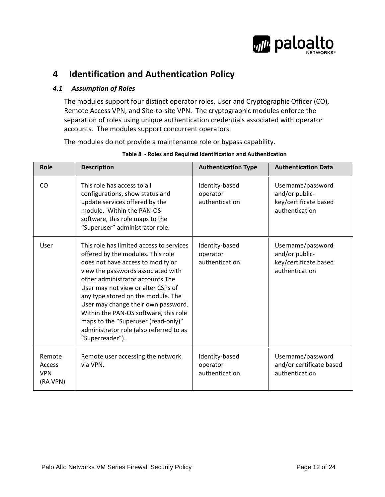

# **4 Identification and Authentication Policy**

#### *4.1 Assumption of Roles*

The modules support four distinct operator roles, User and Cryptographic Officer (CO), Remote Access VPN, and Site‐to‐site VPN. The cryptographic modules enforce the separation of roles using unique authentication credentials associated with operator accounts. The modules support concurrent operators.

The modules do not provide a maintenance role or bypass capability.

| <b>Role</b>                                | <b>Description</b>                                                                                                                                                                                                                                                                                                                                                                                                                                            | <b>Authentication Type</b>                   | <b>Authentication Data</b>                                                     |
|--------------------------------------------|---------------------------------------------------------------------------------------------------------------------------------------------------------------------------------------------------------------------------------------------------------------------------------------------------------------------------------------------------------------------------------------------------------------------------------------------------------------|----------------------------------------------|--------------------------------------------------------------------------------|
| <b>CO</b>                                  | This role has access to all<br>configurations, show status and<br>update services offered by the<br>module. Within the PAN-OS<br>software, this role maps to the<br>"Superuser" administrator role.                                                                                                                                                                                                                                                           | Identity-based<br>operator<br>authentication | Username/password<br>and/or public-<br>key/certificate based<br>authentication |
| User                                       | This role has limited access to services<br>offered by the modules. This role<br>does not have access to modify or<br>view the passwords associated with<br>other administrator accounts The<br>User may not view or alter CSPs of<br>any type stored on the module. The<br>User may change their own password.<br>Within the PAN-OS software, this role<br>maps to the "Superuser (read-only)"<br>administrator role (also referred to as<br>"Superreader"). | Identity-based<br>operator<br>authentication | Username/password<br>and/or public-<br>key/certificate based<br>authentication |
| Remote<br>Access<br><b>VPN</b><br>(RA VPN) | Remote user accessing the network<br>via VPN.                                                                                                                                                                                                                                                                                                                                                                                                                 | Identity-based<br>operator<br>authentication | Username/password<br>and/or certificate based<br>authentication                |

#### **Table 8 ‐ Roles and Required Identification and Authentication**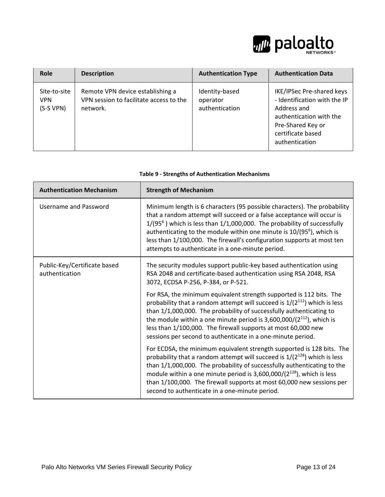

| Role                                    | <b>Description</b>                                                                      | <b>Authentication Type</b>                   | <b>Authentication Data</b>                                                                                                                                      |
|-----------------------------------------|-----------------------------------------------------------------------------------------|----------------------------------------------|-----------------------------------------------------------------------------------------------------------------------------------------------------------------|
| Site-to-site<br><b>VPN</b><br>(S-S VPN) | Remote VPN device establishing a<br>VPN session to facilitate access to the<br>network. | Identity-based<br>operator<br>authentication | IKE/IPSec Pre-shared keys<br>- Identification with the IP<br>Address and<br>authentication with the<br>Pre-Shared Key or<br>certificate based<br>authentication |

| <b>Table 9 - Strengths of Authentication Mechanisms</b> |  |  |
|---------------------------------------------------------|--|--|
|---------------------------------------------------------|--|--|

| <b>Authentication Mechanism</b>                | <b>Strength of Mechanism</b>                                                                                                                                                                                                                                                                                                                                                                                                                  |  |
|------------------------------------------------|-----------------------------------------------------------------------------------------------------------------------------------------------------------------------------------------------------------------------------------------------------------------------------------------------------------------------------------------------------------------------------------------------------------------------------------------------|--|
| Username and Password                          | Minimum length is 6 characters (95 possible characters). The probability<br>that a random attempt will succeed or a false acceptance will occur is<br>$1/(95^6)$ which is less than $1/1,000,000$ . The probability of successfully<br>authenticating to the module within one minute is $10/(95^6)$ , which is<br>less than 1/100,000. The firewall's configuration supports at most ten<br>attempts to authenticate in a one-minute period. |  |
| Public-Key/Certificate based<br>authentication | The security modules support public-key based authentication using<br>RSA 2048 and certificate-based authentication using RSA 2048, RSA<br>3072, ECDSA P-256, P-384, or P-521.                                                                                                                                                                                                                                                                |  |
|                                                | For RSA, the minimum equivalent strength supported is 112 bits. The<br>probability that a random attempt will succeed is $1/(2^{112})$ which is less<br>than 1/1,000,000. The probability of successfully authenticating to<br>the module within a one minute period is $3,600,000/(2^{112})$ , which is<br>less than 1/100,000. The firewall supports at most 60,000 new<br>sessions per second to authenticate in a one-minute period.      |  |
|                                                | For ECDSA, the minimum equivalent strength supported is 128 bits. The<br>probability that a random attempt will succeed is $1/(2^{128})$ which is less<br>than 1/1,000,000. The probability of successfully authenticating to the<br>module within a one minute period is $3,600,000/(2^{128})$ , which is less<br>than 1/100,000. The firewall supports at most 60,000 new sessions per<br>second to authenticate in a one-minute period.    |  |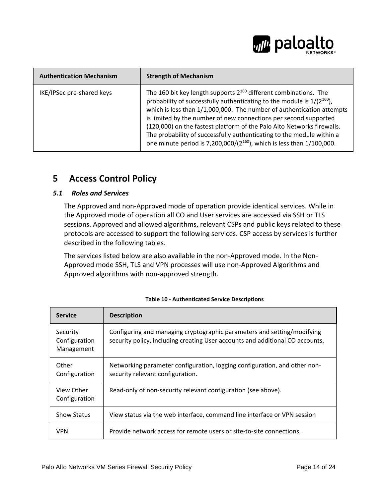

| <b>Authentication Mechanism</b> | <b>Strength of Mechanism</b>                                                                                                                                                                                                                                                                                                                                                                                                                                                                                                        |
|---------------------------------|-------------------------------------------------------------------------------------------------------------------------------------------------------------------------------------------------------------------------------------------------------------------------------------------------------------------------------------------------------------------------------------------------------------------------------------------------------------------------------------------------------------------------------------|
| IKE/IPSec pre-shared keys       | The 160 bit key length supports $2^{160}$ different combinations. The<br>probability of successfully authenticating to the module is $1/(2^{160})$ ,<br>which is less than 1/1,000,000. The number of authentication attempts<br>is limited by the number of new connections per second supported<br>(120,000) on the fastest platform of the Palo Alto Networks firewalls.<br>The probability of successfully authenticating to the module within a<br>one minute period is 7,200,000/( $2^{160}$ ), which is less than 1/100,000. |

# **5 Access Control Policy**

#### *5.1 Roles and Services*

The Approved and non‐Approved mode of operation provide identical services. While in the Approved mode of operation all CO and User services are accessed via SSH or TLS sessions. Approved and allowed algorithms, relevant CSPs and public keys related to these protocols are accessed to support the following services. CSP access by services is further described in the following tables.

The services listed below are also available in the non‐Approved mode. In the Non‐ Approved mode SSH, TLS and VPN processes will use non‐Approved Algorithms and Approved algorithms with non‐approved strength.

| <b>Service</b>                          | <b>Description</b>                                                                                                                                       |
|-----------------------------------------|----------------------------------------------------------------------------------------------------------------------------------------------------------|
| Security<br>Configuration<br>Management | Configuring and managing cryptographic parameters and setting/modifying<br>security policy, including creating User accounts and additional CO accounts. |
| Other<br>Configuration                  | Networking parameter configuration, logging configuration, and other non-<br>security relevant configuration.                                            |
| View Other<br>Configuration             | Read-only of non-security relevant configuration (see above).                                                                                            |
| <b>Show Status</b>                      | View status via the web interface, command line interface or VPN session                                                                                 |
| <b>VPN</b>                              | Provide network access for remote users or site-to-site connections.                                                                                     |

#### **Table 10 ‐ Authenticated Service Descriptions**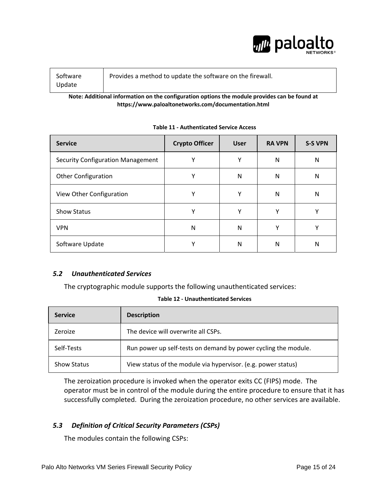

| Software<br>Update | Provides a method to update the software on the firewall. |
|--------------------|-----------------------------------------------------------|
|--------------------|-----------------------------------------------------------|

**Note: Additional information on the configuration options the module provides can be found at https://www.paloaltonetworks.com/documentation.html**

| <b>Service</b>                           | <b>Crypto Officer</b> | <b>User</b> | <b>RA VPN</b> | <b>S-S VPN</b> |
|------------------------------------------|-----------------------|-------------|---------------|----------------|
| <b>Security Configuration Management</b> | v                     | v           | N             | N              |
| <b>Other Configuration</b>               |                       | N           | N             | N              |
| View Other Configuration                 | v                     | v           | N             | N              |
| <b>Show Status</b>                       | v                     | ٧           | Υ             |                |
| <b>VPN</b>                               | N                     | N           | $\checkmark$  | v              |
| Software Update                          |                       | N           | N             | N              |

#### **Table 11 ‐ Authenticated Service Access**

#### *5.2 Unauthenticated Services*

The cryptographic module supports the following unauthenticated services:

#### **Table 12 ‐ Unauthenticated Services**

| <b>Service</b>     | <b>Description</b>                                             |
|--------------------|----------------------------------------------------------------|
| Zeroize            | The device will overwrite all CSPs.                            |
| Self-Tests         | Run power up self-tests on demand by power cycling the module. |
| <b>Show Status</b> | View status of the module via hypervisor. (e.g. power status)  |

The zeroization procedure is invoked when the operator exits CC (FIPS) mode. The operator must be in control of the module during the entire procedure to ensure that it has successfully completed. During the zeroization procedure, no other services are available.

#### *5.3 Definition of Critical Security Parameters (CSPs)*

The modules contain the following CSPs: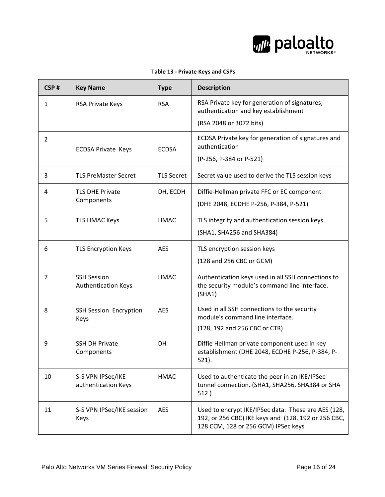

#### **Table 13 ‐ Private Keys and CSPs**

| CSP#           | <b>Key Name</b>                                  | <b>Type</b>       | <b>Description</b>                                                                                                                                |
|----------------|--------------------------------------------------|-------------------|---------------------------------------------------------------------------------------------------------------------------------------------------|
| $\mathbf{1}$   | <b>RSA Private Keys</b>                          | <b>RSA</b>        | RSA Private key for generation of signatures,<br>authentication and key establishment                                                             |
|                |                                                  |                   | (RSA 2048 or 3072 bits)                                                                                                                           |
| $\overline{2}$ | <b>ECDSA Private Keys</b>                        | <b>ECDSA</b>      | ECDSA Private key for generation of signatures and<br>authentication<br>(P-256, P-384 or P-521)                                                   |
| 3              | <b>TLS PreMaster Secret</b>                      | <b>TLS Secret</b> | Secret value used to derive the TLS session keys                                                                                                  |
| 4              | <b>TLS DHE Private</b><br>Components             | DH, ECDH          | Diffie-Hellman private FFC or EC component<br>(DHE 2048, ECDHE P-256, P-384, P-521)                                                               |
| 5              | <b>TLS HMAC Keys</b>                             | <b>HMAC</b>       | TLS integrity and authentication session keys<br>(SHA1, SHA256 and SHA384)                                                                        |
| 6              | <b>TLS Encryption Keys</b>                       | <b>AES</b>        | TLS encryption session keys<br>(128 and 256 CBC or GCM)                                                                                           |
| $\overline{7}$ | <b>SSH Session</b><br><b>Authentication Keys</b> | <b>HMAC</b>       | Authentication keys used in all SSH connections to<br>the security module's command line interface.<br>(SHA1)                                     |
| 8              | <b>SSH Session Encryption</b><br>Keys            | <b>AES</b>        | Used in all SSH connections to the security<br>module's command line interface.<br>(128, 192 and 256 CBC or CTR)                                  |
| 9              | <b>SSH DH Private</b><br>Components              | <b>DH</b>         | Diffie Hellman private component used in key<br>establishment (DHE 2048, ECDHE P-256, P-384, P-<br>521).                                          |
| 10             | S-S VPN IPSec/IKE<br>authentication Keys         | <b>HMAC</b>       | Used to authenticate the peer in an IKE/IPSec<br>tunnel connection. (SHA1, SHA256, SHA384 or SHA<br>512)                                          |
| 11             | S-S VPN IPSec/IKE session<br>Keys                | <b>AES</b>        | Used to encrypt IKE/IPSec data. These are AES (128,<br>192, or 256 CBC) IKE keys and (128, 192 or 256 CBC,<br>128 CCM, 128 or 256 GCM) IPSec keys |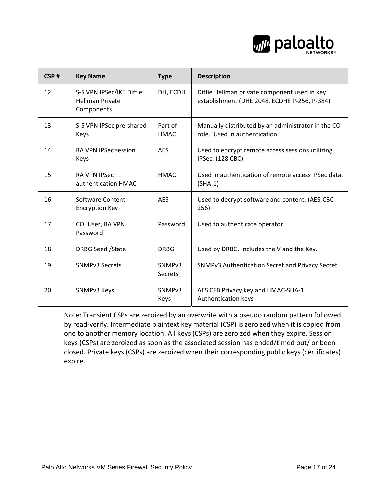

| CSP# | <b>Key Name</b>                                                  | <b>Type</b>                          | <b>Description</b>                                                                           |
|------|------------------------------------------------------------------|--------------------------------------|----------------------------------------------------------------------------------------------|
| 12   | S-S VPN IPSec/IKE Diffie<br><b>Hellman Private</b><br>Components | DH, ECDH                             | Diffie Hellman private component used in key<br>establishment (DHE 2048, ECDHE P-256, P-384) |
| 13   | S-S VPN IPSec pre-shared<br>Keys                                 | Part of<br><b>HMAC</b>               | Manually distributed by an administrator in the CO<br>role. Used in authentication.          |
| 14   | <b>RA VPN IPSec session</b><br>Keys                              | <b>AES</b>                           | Used to encrypt remote access sessions utilizing<br>IPSec. (128 CBC)                         |
| 15   | <b>RA VPN IPSec</b><br>authentication HMAC                       | <b>HMAC</b>                          | Used in authentication of remote access IPSec data.<br>$(SHA-1)$                             |
| 16   | Software Content<br><b>Encryption Key</b>                        | <b>AES</b>                           | Used to decrypt software and content. (AES-CBC<br>256)                                       |
| 17   | CO, User, RA VPN<br>Password                                     | Password                             | Used to authenticate operator                                                                |
| 18   | DRBG Seed / State                                                | <b>DRBG</b>                          | Used by DRBG. Includes the V and the Key.                                                    |
| 19   | <b>SNMPv3 Secrets</b>                                            | SNMP <sub>v3</sub><br><b>Secrets</b> | SNMPv3 Authentication Secret and Privacy Secret                                              |
| 20   | SNMPv3 Keys                                                      | SNMP <sub>v3</sub><br>Keys           | AES CFB Privacy key and HMAC-SHA-1<br>Authentication keys                                    |

Note: Transient CSPs are zeroized by an overwrite with a pseudo random pattern followed by read‐verify. Intermediate plaintext key material (CSP) is zeroized when it is copied from one to another memory location. All keys (CSPs) are zeroized when they expire. Session keys (CSPs) are zeroized as soon as the associated session has ended/timed out/ or been closed. Private keys (CSPs) are zeroized when their corresponding public keys (certificates) expire.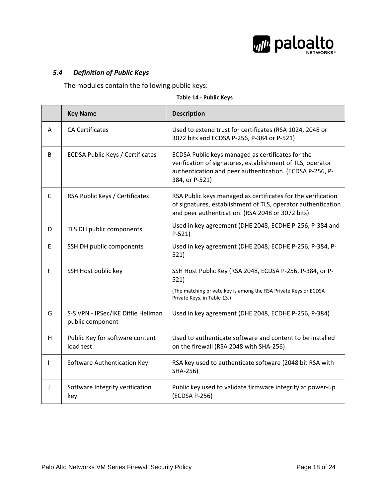

#### *5.4 Definition of Public Keys*

The modules contain the following public keys:

#### **Table 14 ‐ Public Keys**

|   | <b>Key Name</b>                                        | <b>Description</b>                                                                                                                                                                            |
|---|--------------------------------------------------------|-----------------------------------------------------------------------------------------------------------------------------------------------------------------------------------------------|
| A | <b>CA Certificates</b>                                 | Used to extend trust for certificates (RSA 1024, 2048 or<br>3072 bits and ECDSA P-256, P-384 or P-521)                                                                                        |
| B | <b>ECDSA Public Keys / Certificates</b>                | ECDSA Public keys managed as certificates for the<br>verification of signatures, establishment of TLS, operator<br>authentication and peer authentication. (ECDSA P-256, P-<br>384, or P-521) |
| C | RSA Public Keys / Certificates                         | RSA Public keys managed as certificates for the verification<br>of signatures, establishment of TLS, operator authentication<br>and peer authentication. (RSA 2048 or 3072 bits)              |
| D | TLS DH public components                               | Used in key agreement (DHE 2048, ECDHE P-256, P-384 and<br>$P-521)$                                                                                                                           |
| E | SSH DH public components                               | Used in key agreement (DHE 2048, ECDHE P-256, P-384, P-<br>521)                                                                                                                               |
| F | SSH Host public key                                    | SSH Host Public Key (RSA 2048, ECDSA P-256, P-384, or P-<br>521)                                                                                                                              |
|   |                                                        | (The matching private key is among the RSA Private Keys or ECDSA<br>Private Keys, in Table 13.)                                                                                               |
| G | S-S VPN - IPSec/IKE Diffie Hellman<br>public component | Used in key agreement (DHE 2048, ECDHE P-256, P-384)                                                                                                                                          |
| н | Public Key for software content<br>load test           | Used to authenticate software and content to be installed<br>on the firewall (RSA 2048 with SHA-256)                                                                                          |
|   | Software Authentication Key                            | RSA key used to authenticate software (2048 bit RSA with<br>SHA-256)                                                                                                                          |
| J | Software Integrity verification<br>key                 | Public key used to validate firmware integrity at power-up<br>(ECDSA P-256)                                                                                                                   |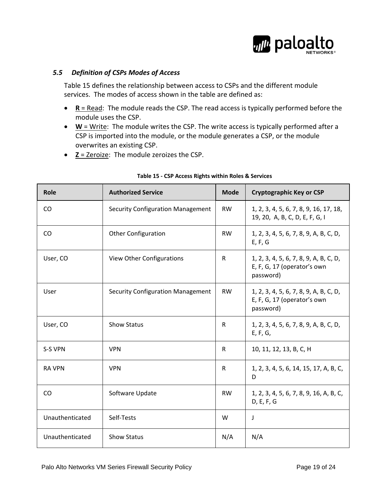

#### *5.5 Definition of CSPs Modes of Access*

Table 15 defines the relationship between access to CSPs and the different module services. The modes of access shown in the table are defined as:

- **R** = Read: The module reads the CSP. The read access is typically performed before the module uses the CSP.
- W = Write: The module writes the CSP. The write access is typically performed after a CSP is imported into the module, or the module generates a CSP, or the module overwrites an existing CSP.
- **Z** = Zeroize: The module zeroizes the CSP.

| Role            | <b>Authorized Service</b>                | <b>Mode</b>  | <b>Cryptographic Key or CSP</b>                                                    |
|-----------------|------------------------------------------|--------------|------------------------------------------------------------------------------------|
| <b>CO</b>       | <b>Security Configuration Management</b> | <b>RW</b>    | 1, 2, 3, 4, 5, 6, 7, 8, 9, 16, 17, 18,<br>19, 20, A, B, C, D, E, F, G, I           |
| CO              | <b>Other Configuration</b>               | <b>RW</b>    | 1, 2, 3, 4, 5, 6, 7, 8, 9, A, B, C, D,<br>E, F, G                                  |
| User, CO        | View Other Configurations                | $\mathsf{R}$ | 1, 2, 3, 4, 5, 6, 7, 8, 9, A, B, C, D,<br>E, F, G, 17 (operator's own<br>password) |
| User            | <b>Security Configuration Management</b> | <b>RW</b>    | 1, 2, 3, 4, 5, 6, 7, 8, 9, A, B, C, D,<br>E, F, G, 17 (operator's own<br>password) |
| User, CO        | <b>Show Status</b>                       | R            | 1, 2, 3, 4, 5, 6, 7, 8, 9, A, B, C, D,<br>E, F, G,                                 |
| S-S VPN         | <b>VPN</b>                               | R            | 10, 11, 12, 13, B, C, H                                                            |
| <b>RA VPN</b>   | <b>VPN</b>                               | R            | 1, 2, 3, 4, 5, 6, 14, 15, 17, A, B, C,<br>D                                        |
| <b>CO</b>       | Software Update                          | <b>RW</b>    | 1, 2, 3, 4, 5, 6, 7, 8, 9, 16, A, B, C,<br>D, E, F, G                              |
| Unauthenticated | Self-Tests                               | W            | J                                                                                  |
| Unauthenticated | <b>Show Status</b>                       | N/A          | N/A                                                                                |

#### **Table 15 ‐ CSP Access Rights within Roles & Services**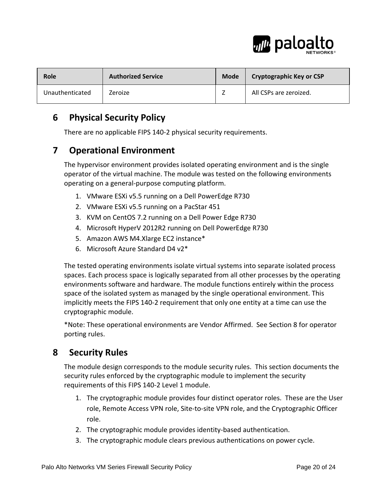

| <b>Role</b>     | <b>Authorized Service</b> | Mode | <b>Cryptographic Key or CSP</b> |
|-----------------|---------------------------|------|---------------------------------|
| Unauthenticated | Zeroize                   |      | All CSPs are zeroized.          |

# **6 Physical Security Policy**

There are no applicable FIPS 140‐2 physical security requirements.

# **7 Operational Environment**

The hypervisor environment provides isolated operating environment and is the single operator of the virtual machine. The module was tested on the following environments operating on a general‐purpose computing platform.

- 1. VMware ESXi v5.5 running on a Dell PowerEdge R730
- 2. VMware ESXi v5.5 running on a PacStar 451
- 3. KVM on CentOS 7.2 running on a Dell Power Edge R730
- 4. Microsoft HyperV 2012R2 running on Dell PowerEdge R730
- 5. Amazon AWS M4.Xlarge EC2 instance\*
- 6. Microsoft Azure Standard D4 v2\*

The tested operating environments isolate virtual systems into separate isolated process spaces. Each process space is logically separated from all other processes by the operating environments software and hardware. The module functions entirely within the process space of the isolated system as managed by the single operational environment. This implicitly meets the FIPS 140‐2 requirement that only one entity at a time can use the cryptographic module.

\*Note: These operational environments are Vendor Affirmed. See Section 8 for operator porting rules.

# **8 Security Rules**

The module design corresponds to the module security rules. This section documents the security rules enforced by the cryptographic module to implement the security requirements of this FIPS 140‐2 Level 1 module.

- 1. The cryptographic module provides four distinct operator roles. These are the User role, Remote Access VPN role, Site‐to‐site VPN role, and the Cryptographic Officer role.
- 2. The cryptographic module provides identity‐based authentication.
- 3. The cryptographic module clears previous authentications on power cycle.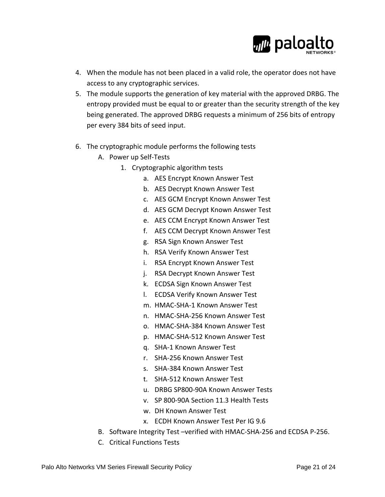

- 4. When the module has not been placed in a valid role, the operator does not have access to any cryptographic services.
- 5. The module supports the generation of key material with the approved DRBG. The entropy provided must be equal to or greater than the security strength of the key being generated. The approved DRBG requests a minimum of 256 bits of entropy per every 384 bits of seed input.
- 6. The cryptographic module performs the following tests
	- A. Power up Self‐Tests
		- 1. Cryptographic algorithm tests
			- a. AES Encrypt Known Answer Test
			- b. AES Decrypt Known Answer Test
			- c. AES GCM Encrypt Known Answer Test
			- d. AES GCM Decrypt Known Answer Test
			- e. AES CCM Encrypt Known Answer Test
			- f. AES CCM Decrypt Known Answer Test
			- g. RSA Sign Known Answer Test
			- h. RSA Verify Known Answer Test
			- i. RSA Encrypt Known Answer Test
			- j. RSA Decrypt Known Answer Test
			- k. ECDSA Sign Known Answer Test
			- l. ECDSA Verify Known Answer Test
			- m. HMAC‐SHA‐1 Known Answer Test
			- n. HMAC‐SHA‐256 Known Answer Test
			- o. HMAC‐SHA‐384 Known Answer Test
			- p. HMAC‐SHA‐512 Known Answer Test
			- q. SHA‐1 Known Answer Test
			- r. SHA‐256 Known Answer Test
			- s. SHA‐384 Known Answer Test
			- t. SHA‐512 Known Answer Test
			- u. DRBG SP800‐90A Known Answer Tests
			- v. SP 800‐90A Section 11.3 Health Tests
			- w. DH Known Answer Test
			- x. ECDH Known Answer Test Per IG 9.6
	- B. Software Integrity Test –verified with HMAC‐SHA‐256 and ECDSA P‐256.
	- C. Critical Functions Tests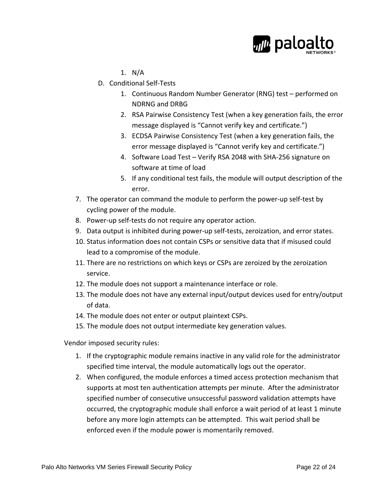

- 1. N/A
- D. Conditional Self‐Tests
	- 1. Continuous Random Number Generator (RNG) test performed on NDRNG and DRBG
	- 2. RSA Pairwise Consistency Test (when a key generation fails, the error message displayed is "Cannot verify key and certificate.")
	- 3. ECDSA Pairwise Consistency Test (when a key generation fails, the error message displayed is "Cannot verify key and certificate.")
	- 4. Software Load Test Verify RSA 2048 with SHA‐256 signature on software at time of load
	- 5. If any conditional test fails, the module will output description of the error.
- 7. The operator can command the module to perform the power‐up self‐test by cycling power of the module.
- 8. Power‐up self‐tests do not require any operator action.
- 9. Data output is inhibited during power-up self-tests, zeroization, and error states.
- 10. Status information does not contain CSPs or sensitive data that if misused could lead to a compromise of the module.
- 11. There are no restrictions on which keys or CSPs are zeroized by the zeroization service.
- 12. The module does not support a maintenance interface or role.
- 13. The module does not have any external input/output devices used for entry/output of data.
- 14. The module does not enter or output plaintext CSPs.
- 15. The module does not output intermediate key generation values.

Vendor imposed security rules:

- 1. If the cryptographic module remains inactive in any valid role for the administrator specified time interval, the module automatically logs out the operator.
- 2. When configured, the module enforces a timed access protection mechanism that supports at most ten authentication attempts per minute. After the administrator specified number of consecutive unsuccessful password validation attempts have occurred, the cryptographic module shall enforce a wait period of at least 1 minute before any more login attempts can be attempted. This wait period shall be enforced even if the module power is momentarily removed.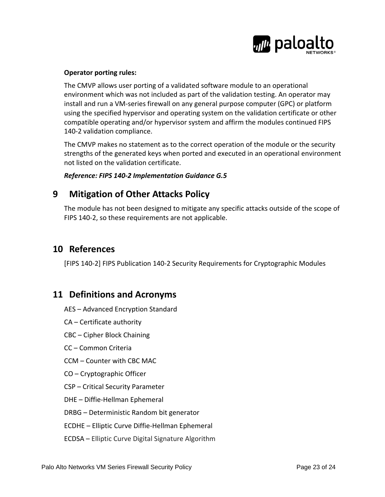

#### **Operator porting rules:**

The CMVP allows user porting of a validated software module to an operational environment which was not included as part of the validation testing. An operator may install and run a VM‐series firewall on any general purpose computer (GPC) or platform using the specified hypervisor and operating system on the validation certificate or other compatible operating and/or hypervisor system and affirm the modules continued FIPS 140-2 validation compliance.

The CMVP makes no statement as to the correct operation of the module or the security strengths of the generated keys when ported and executed in an operational environment not listed on the validation certificate.

#### *Reference: FIPS 140‐2 Implementation Guidance G.5*

# **9 Mitigation of Other Attacks Policy**

The module has not been designed to mitigate any specific attacks outside of the scope of FIPS 140-2, so these requirements are not applicable.

# **10 References**

[FIPS 140‐2] FIPS Publication 140‐2 Security Requirements for Cryptographic Modules

### **11 Definitions and Acronyms**

- AES Advanced Encryption Standard
- CA Certificate authority
- CBC Cipher Block Chaining
- CC Common Criteria
- CCM Counter with CBC MAC
- CO Cryptographic Officer
- CSP Critical Security Parameter
- DHE Diffie‐Hellman Ephemeral
- DRBG Deterministic Random bit generator
- ECDHE Elliptic Curve Diffie‐Hellman Ephemeral
- ECDSA Elliptic Curve Digital Signature Algorithm